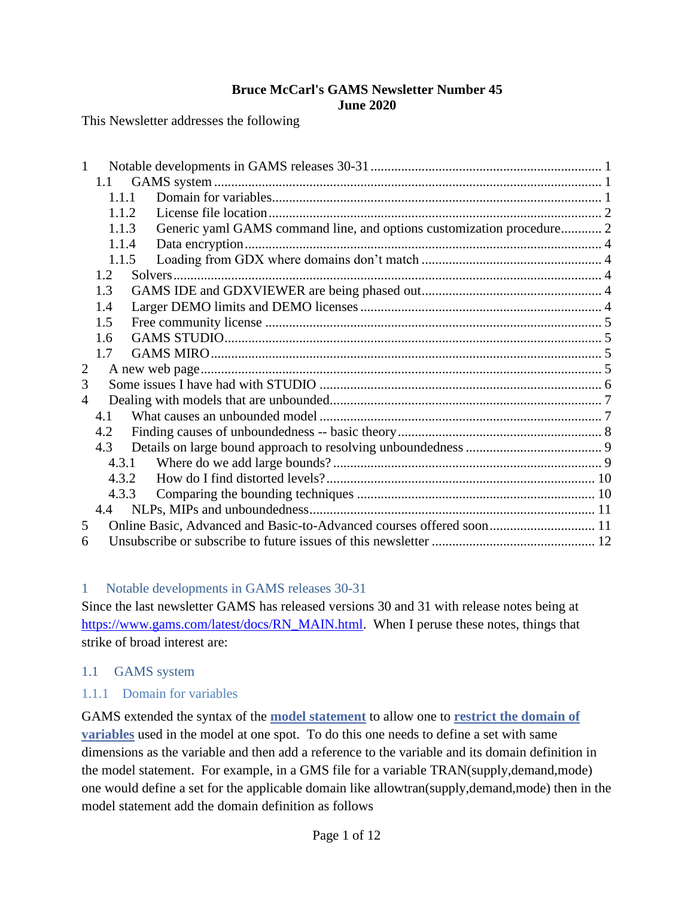#### **Bruce McCarl's GAMS Newsletter Number 45 June 2020**

This Newsletter addresses the following

| 1                        |                                                                      |                                                                       |  |  |  |  |  |  |
|--------------------------|----------------------------------------------------------------------|-----------------------------------------------------------------------|--|--|--|--|--|--|
|                          | 1.1                                                                  |                                                                       |  |  |  |  |  |  |
|                          | 1.1.1                                                                |                                                                       |  |  |  |  |  |  |
|                          | 1.1.2                                                                |                                                                       |  |  |  |  |  |  |
|                          | 1.1.3                                                                | Generic yaml GAMS command line, and options customization procedure 2 |  |  |  |  |  |  |
|                          | 1.1.4                                                                |                                                                       |  |  |  |  |  |  |
|                          | 1.1.5                                                                |                                                                       |  |  |  |  |  |  |
|                          | 1.2                                                                  |                                                                       |  |  |  |  |  |  |
|                          | 1.3                                                                  |                                                                       |  |  |  |  |  |  |
|                          | 1.4                                                                  |                                                                       |  |  |  |  |  |  |
|                          | 1.5                                                                  |                                                                       |  |  |  |  |  |  |
|                          | 1.6                                                                  |                                                                       |  |  |  |  |  |  |
|                          | 1.7                                                                  |                                                                       |  |  |  |  |  |  |
| $\overline{2}$           |                                                                      |                                                                       |  |  |  |  |  |  |
| 3                        |                                                                      |                                                                       |  |  |  |  |  |  |
| $\overline{\mathcal{A}}$ |                                                                      |                                                                       |  |  |  |  |  |  |
|                          | 4.1                                                                  |                                                                       |  |  |  |  |  |  |
|                          | 4.2                                                                  |                                                                       |  |  |  |  |  |  |
|                          | 4.3                                                                  |                                                                       |  |  |  |  |  |  |
|                          | 4.3.1                                                                |                                                                       |  |  |  |  |  |  |
|                          | 4.3.2                                                                |                                                                       |  |  |  |  |  |  |
|                          | 4.3.3                                                                |                                                                       |  |  |  |  |  |  |
|                          | 4.4                                                                  |                                                                       |  |  |  |  |  |  |
| 5                        | Online Basic, Advanced and Basic-to-Advanced courses offered soon 11 |                                                                       |  |  |  |  |  |  |
| 6                        |                                                                      |                                                                       |  |  |  |  |  |  |

#### <span id="page-0-0"></span>1 Notable developments in GAMS releases 30-31

Since the last newsletter GAMS has released versions 30 and 31 with release notes being at [https://www.gams.com/latest/docs/RN\\_MAIN.html.](https://www.gams.com/latest/docs/RN_MAIN.html) When I peruse these notes, things that strike of broad interest are:

#### <span id="page-0-1"></span>1.1 GAMS system

#### <span id="page-0-2"></span>1.1.1 Domain for variables

GAMS extended the syntax of the **[model statement](https://www.gams.com/latest/docs/UG_ModelSolve.html#UG_ModelSolve_ModelTheSyntax)** to allow one to **[restrict the domain of](https://www.gams.com/latest/docs/UG_ModelSolve.html#UG_ModelSolve_LimitedDomain)  [variables](https://www.gams.com/latest/docs/UG_ModelSolve.html#UG_ModelSolve_LimitedDomain)** used in the model at one spot. To do this one needs to define a set with same dimensions as the variable and then add a reference to the variable and its domain definition in the model statement. For example, in a GMS file for a variable TRAN(supply,demand,mode) one would define a set for the applicable domain like allowtran(supply,demand,mode) then in the model statement add the domain definition as follows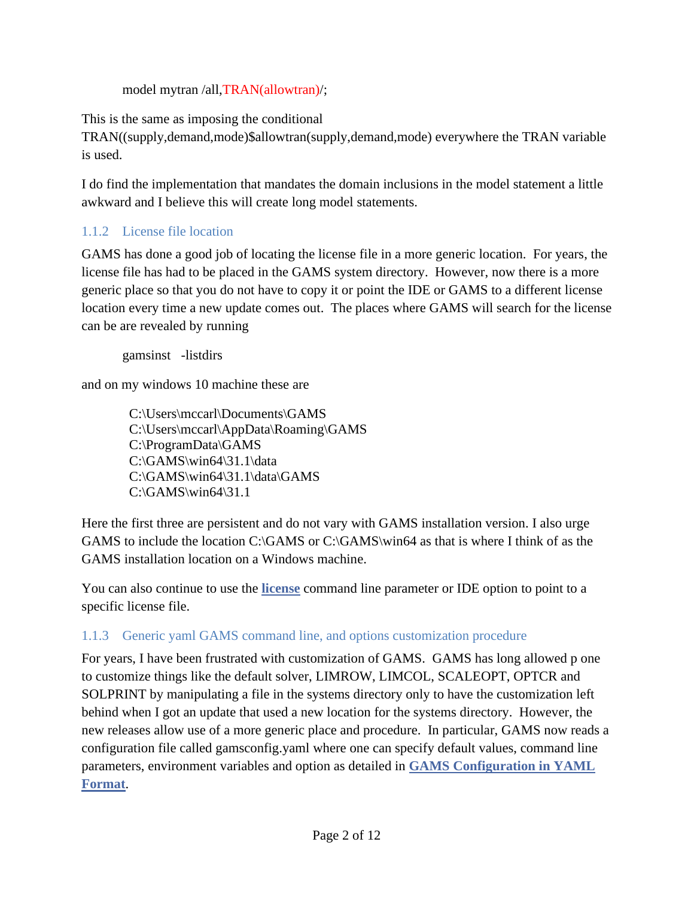model mytran /all,TRAN(allowtran)/;

This is the same as imposing the conditional

TRAN((supply,demand,mode)\$allowtran(supply,demand,mode) everywhere the TRAN variable is used.

I do find the implementation that mandates the domain inclusions in the model statement a little awkward and I believe this will create long model statements.

# <span id="page-1-0"></span>1.1.2 License file location

GAMS has done a good job of locating the license file in a more generic location. For years, the license file has had to be placed in the GAMS system directory. However, now there is a more generic place so that you do not have to copy it or point the IDE or GAMS to a different license location every time a new update comes out. The places where GAMS will search for the license can be are revealed by running

gamsinst -listdirs

and on my windows 10 machine these are

 C:\Users\mccarl\Documents\GAMS C:\Users\mccarl\AppData\Roaming\GAMS C:\ProgramData\GAMS C:\GAMS\win64\31.1\data C:\GAMS\win64\31.1\data\GAMS  $C:\GAMS\win 64\31.1$ 

Here the first three are persistent and do not vary with GAMS installation version. I also urge GAMS to include the location C:\GAMS or C:\GAMS\win64 as that is where I think of as the GAMS installation location on a Windows machine.

You can also continue to use the **[license](https://www.gams.com/latest/docs/UG_GamsCall.html#GAMSAOlicense)** command line parameter or IDE option to point to a specific license file.

## <span id="page-1-1"></span>1.1.3 Generic yaml GAMS command line, and options customization procedure

For years, I have been frustrated with customization of GAMS. GAMS has long allowed p one to customize things like the default solver, LIMROW, LIMCOL, SCALEOPT, OPTCR and SOLPRINT by manipulating a file in the systems directory only to have the customization left behind when I got an update that used a new location for the systems directory. However, the new releases allow use of a more generic place and procedure. In particular, GAMS now reads a configuration file called gamsconfig.yaml where one can specify default values, command line parameters, environment variables and option as detailed in **[GAMS Configuration in YAML](https://www.gams.com/latest/docs/UG_GamsCall.html#UG_GamsCall_GAMSConfigYAML)  [Format](https://www.gams.com/latest/docs/UG_GamsCall.html#UG_GamsCall_GAMSConfigYAML)**.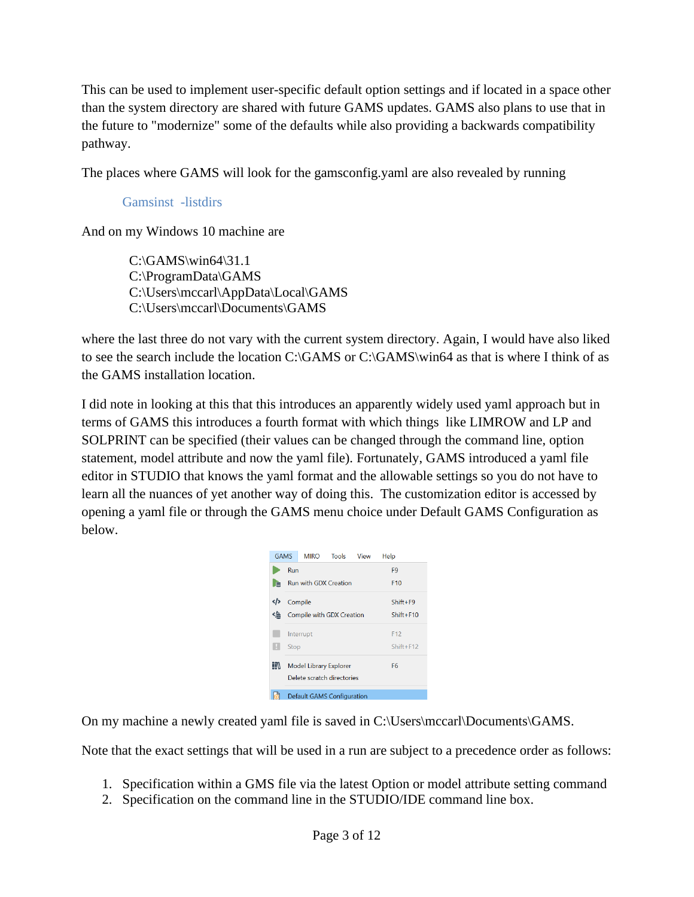This can be used to implement user-specific default option settings and if located in a space other than the system directory are shared with future GAMS updates. GAMS also plans to use that in the future to "modernize" some of the defaults while also providing a backwards compatibility pathway.

The places where GAMS will look for the gamsconfig.yaml are also revealed by running

### Gamsinst -listdirs

And on my Windows 10 machine are

 $C:\GAMS\win 64\31.1$  C:\ProgramData\GAMS C:\Users\mccarl\AppData\Local\GAMS C:\Users\mccarl\Documents\GAMS

where the last three do not vary with the current system directory. Again, I would have also liked to see the search include the location C:\GAMS or C:\GAMS\win64 as that is where I think of as the GAMS installation location.

I did note in looking at this that this introduces an apparently widely used yaml approach but in terms of GAMS this introduces a fourth format with which things like LIMROW and LP and SOLPRINT can be specified (their values can be changed through the command line, option statement, model attribute and now the yaml file). Fortunately, GAMS introduced a yaml file editor in STUDIO that knows the yaml format and the allowable settings so you do not have to learn all the nuances of yet another way of doing this. The customization editor is accessed by opening a yaml file or through the GAMS menu choice under Default GAMS Configuration as below.

| <b>GAMS</b> |                            | <b>MIRO</b>                       | Tools           | View            | Help |  |  |  |
|-------------|----------------------------|-----------------------------------|-----------------|-----------------|------|--|--|--|
|             | Run                        |                                   | F9              |                 |      |  |  |  |
| l e         |                            | Run with GDX Creation             |                 | F <sub>10</sub> |      |  |  |  |
| ∢∤≻         |                            | Compile                           | $Shift+F9$      |                 |      |  |  |  |
| ≮⁄≘         |                            | Compile with GDX Creation         | $Shift + F10$   |                 |      |  |  |  |
|             |                            | Interrupt                         | F <sub>12</sub> |                 |      |  |  |  |
|             | Stop                       |                                   | $Shift + F12$   |                 |      |  |  |  |
|             |                            | Model Library Explorer            | F6              |                 |      |  |  |  |
|             | Delete scratch directories |                                   |                 |                 |      |  |  |  |
|             |                            | <b>Default GAMS Configuration</b> |                 |                 |      |  |  |  |

On my machine a newly created yaml file is saved in C:\Users\mccarl\Documents\GAMS.

Note that the exact settings that will be used in a run are subject to a precedence order as follows:

- 1. Specification within a GMS file via the latest Option or model attribute setting command
- 2. Specification on the command line in the STUDIO/IDE command line box.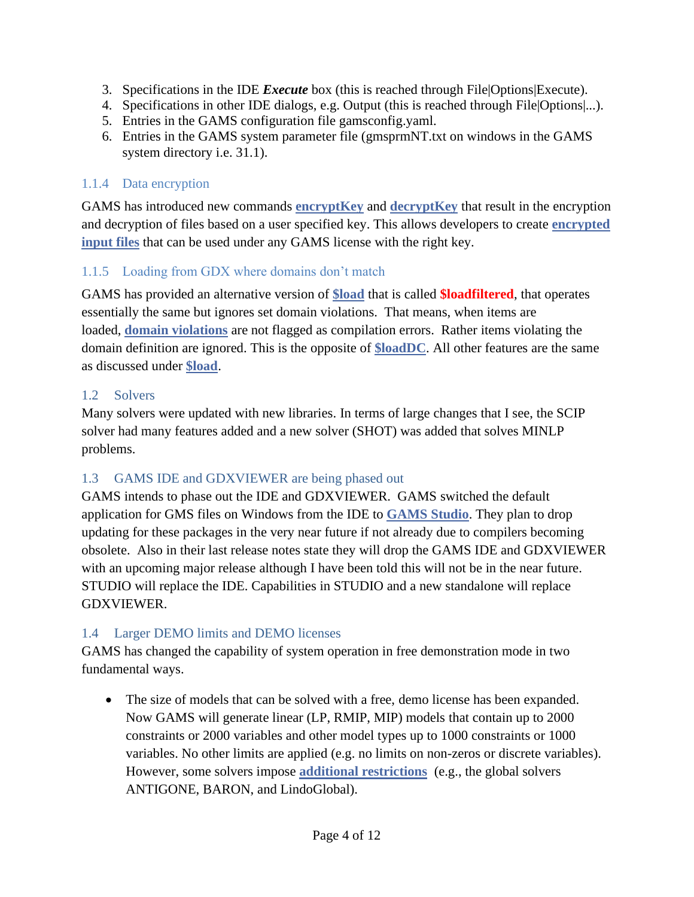- 3. Specifications in the IDE *Execute* box (this is reached through File|Options|Execute).
- 4. Specifications in other IDE dialogs, e.g. Output (this is reached through File|Options|...).
- 5. Entries in the GAMS configuration file gamsconfig.yaml.
- 6. Entries in the GAMS system parameter file (gmsprmNT.txt on windows in the GAMS system directory i.e. 31.1).

## <span id="page-3-0"></span>1.1.4 Data encryption

GAMS has introduced new commands **[encryptKey](https://www.gams.com/latest/docs/UG_GamsCall.html#GAMSAOencryptkey)** and **[decryptKey](https://www.gams.com/latest/docs/UG_GamsCall.html#GAMSAOdecryptkey)** that result in the encryption and decryption of files based on a user specified key. This allows developers to create **[encrypted](https://www.gams.com/latest/docs/UG_DollarControlOptions.html#UG_CompressedEncryptedInputFiles_Encrypt)  [input files](https://www.gams.com/latest/docs/UG_DollarControlOptions.html#UG_CompressedEncryptedInputFiles_Encrypt)** that can be used under any GAMS license with the right key.

# <span id="page-3-1"></span>1.1.5 Loading from GDX where domains don't match

GAMS has provided an alternative version of **[\\$load](https://www.gams.com/latest/docs/UG_DollarControlOptions.html#DOLLARload)** that is called **\$loadfiltered**, that operates essentially the same but ignores set domain violations. That means, when items are loaded, **[domain violations](https://www.gams.com/latest/docs/UG_SetDefinition.html#UG_SetDefinition_DomainChecking)** are not flagged as compilation errors. Rather items violating the domain definition are ignored. This is the opposite of **[\\$loadDC](https://www.gams.com/latest/docs/UG_DollarControlOptions.html#DOLLARloaddc)**. All other features are the same as discussed under **[\\$load](https://www.gams.com/latest/docs/UG_DollarControlOptions.html#DOLLARload)**.

## <span id="page-3-2"></span>1.2 Solvers

Many solvers were updated with new libraries. In terms of large changes that I see, the SCIP solver had many features added and a new solver (SHOT) was added that solves MINLP problems.

# <span id="page-3-3"></span>1.3 GAMS IDE and GDXVIEWER are being phased out

GAMS intends to phase out the IDE and GDXVIEWER. GAMS switched the default application for GMS files on Windows from the IDE to **[GAMS Studio](https://www.gams.com/latest/docs/T_STUDIO.html)**. They plan to drop updating for these packages in the very near future if not already due to compilers becoming obsolete. Also in their last release notes state they will drop the GAMS IDE and GDXVIEWER with an upcoming major release although I have been told this will not be in the near future. STUDIO will replace the IDE. Capabilities in STUDIO and a new standalone will replace GDXVIEWER.

# <span id="page-3-4"></span>1.4 Larger DEMO limits and DEMO licenses

GAMS has changed the capability of system operation in free demonstration mode in two fundamental ways.

• The size of models that can be solved with a free, demo license has been expanded. Now GAMS will generate linear (LP, RMIP, MIP) models that contain up to 2000 constraints or 2000 variables and other model types up to 1000 constraints or 1000 variables. No other limits are applied (e.g. no limits on non-zeros or discrete variables). However, some solvers impose **[additional restrictions](https://www.gams.com/latest/docs/UG_License.html#UG_License_Additional_Solver_Limits)** (e.g., the global solvers ANTIGONE, BARON, and LindoGlobal).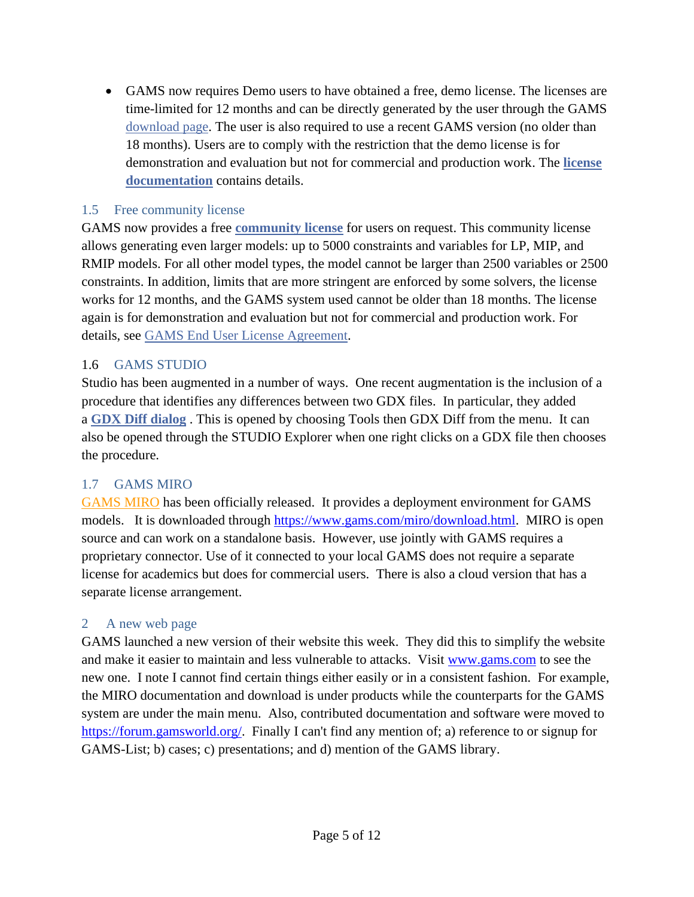• GAMS now requires Demo users to have obtained a free, demo license. The licenses are time-limited for 12 months and can be directly generated by the user through the GAMS [download page.](https://www.gams.com/download) The user is also required to use a recent GAMS version (no older than 18 months). Users are to comply with the restriction that the demo license is for demonstration and evaluation but not for commercial and production work. The **[license](https://www.gams.com/latest/docs/UG_License.html)  [documentation](https://www.gams.com/latest/docs/UG_License.html)** contains details.

#### <span id="page-4-0"></span>1.5 Free community license

GAMS now provides a free **[community license](https://www.gams.com/latest/docs/UG_License.html#GAMS_Community_Licenses)** for users on request. This community license allows generating even larger models: up to 5000 constraints and variables for LP, MIP, and RMIP models. For all other model types, the model cannot be larger than 2500 variables or 2500 constraints. In addition, limits that are more stringent are enforced by some solvers, the license works for 12 months, and the GAMS system used cannot be older than 18 months. The license again is for demonstration and evaluation but not for commercial and production work. For details, see [GAMS End User License Agreement.](https://www.gams.com/fileadmin/GAMS_EULA.pdf)

### <span id="page-4-1"></span>1.6 GAMS STUDIO

Studio has been augmented in a number of ways. One recent augmentation is the inclusion of a procedure that identifies any differences between two GDX files. In particular, they added a **[GDX Diff dialog](https://www.gams.com/latest/docs/T_STUDIO.html#STUDIO_GDXDIFF)** . This is opened by choosing Tools then GDX Diff from the menu. It can also be opened through the STUDIO Explorer when one right clicks on a GDX file then chooses the procedure.

## <span id="page-4-2"></span>1.7 GAMS MIRO

[GAMS MIRO](http://gams.com/miro) has been officially released. It provides a deployment environment for GAMS models. It is downloaded through [https://www.gams.com/miro/download.html.](https://www.gams.com/miro/download.html) MIRO is open source and can work on a standalone basis. However, use jointly with GAMS requires a proprietary connector. Use of it connected to your local GAMS does not require a separate license for academics but does for commercial users. There is also a cloud version that has a separate license arrangement.

#### <span id="page-4-3"></span>2 A new web page

GAMS launched a new version of their website this week. They did this to simplify the website and make it easier to maintain and less vulnerable to attacks. Visit [www.gams.com](http://www.gams.com/) to see the new one. I note I cannot find certain things either easily or in a consistent fashion. For example, the MIRO documentation and download is under products while the counterparts for the GAMS system are under the main menu. Also, contributed documentation and software were moved to [https://forum.gamsworld.org/.](https://forum.gamsworld.org/) Finally I can't find any mention of; a) reference to or signup for GAMS-List; b) cases; c) presentations; and d) mention of the GAMS library.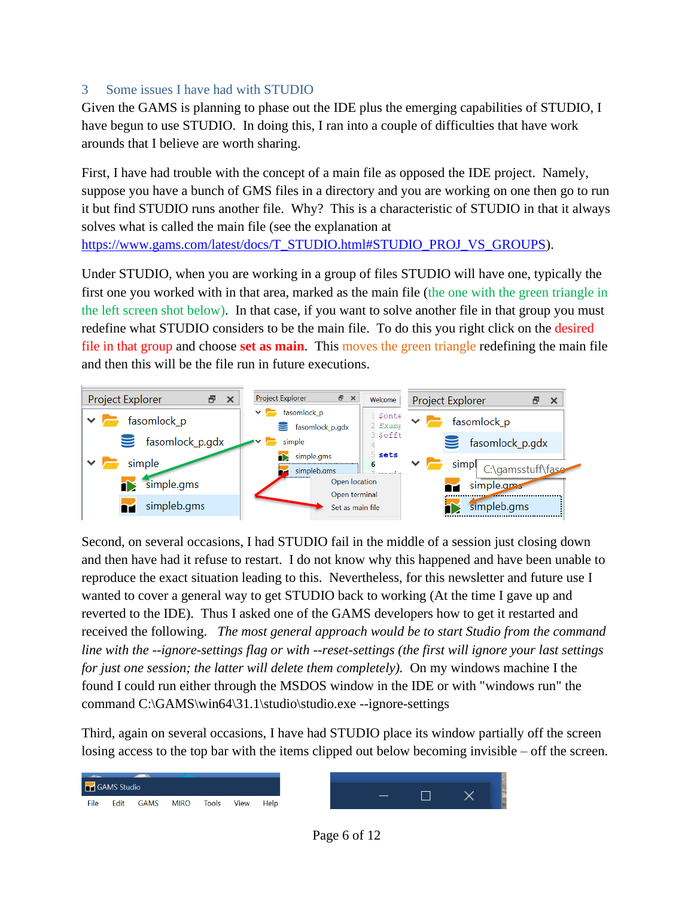#### <span id="page-5-0"></span>3 Some issues I have had with STUDIO

and then this will be the file run in future executions.

Given the GAMS is planning to phase out the IDE plus the emerging capabilities of STUDIO, I have begun to use STUDIO. In doing this, I ran into a couple of difficulties that have work arounds that I believe are worth sharing.

First, I have had trouble with the concept of a main file as opposed the IDE project. Namely, suppose you have a bunch of GMS files in a directory and you are working on one then go to run it but find STUDIO runs another file. Why? This is a characteristic of STUDIO in that it always solves what is called the main file (see the explanation at [https://www.gams.com/latest/docs/T\\_STUDIO.html#STUDIO\\_PROJ\\_VS\\_GROUPS\)](https://www.gams.com/latest/docs/T_STUDIO.html#STUDIO_PROJ_VS_GROUPS).

Under STUDIO, when you are working in a group of files STUDIO will have one, typically the first one you worked with in that area, marked as the main file (the one with the green triangle in the left screen shot below). In that case, if you want to solve another file in that group you must redefine what STUDIO considers to be the main file. To do this you right click on the desired file in that group and choose **set as main**. This moves the green triangle redefining the main file



Second, on several occasions, I had STUDIO fail in the middle of a session just closing down and then have had it refuse to restart. I do not know why this happened and have been unable to reproduce the exact situation leading to this. Nevertheless, for this newsletter and future use I wanted to cover a general way to get STUDIO back to working (At the time I gave up and reverted to the IDE). Thus I asked one of the GAMS developers how to get it restarted and received the following. *The most general approach would be to start Studio from the command line with the --ignore-settings flag or with --reset-settings (the first will ignore your last settings for just one session; the latter will delete them completely).* On my windows machine I the found I could run either through the MSDOS window in the IDE or with "windows run" the command C:\GAMS\win64\31.1\studio\studio.exe --ignore-settings

Third, again on several occasions, I have had STUDIO place its window partially off the screen losing access to the top bar with the items clipped out below becoming invisible – off the screen.



Page 6 of 12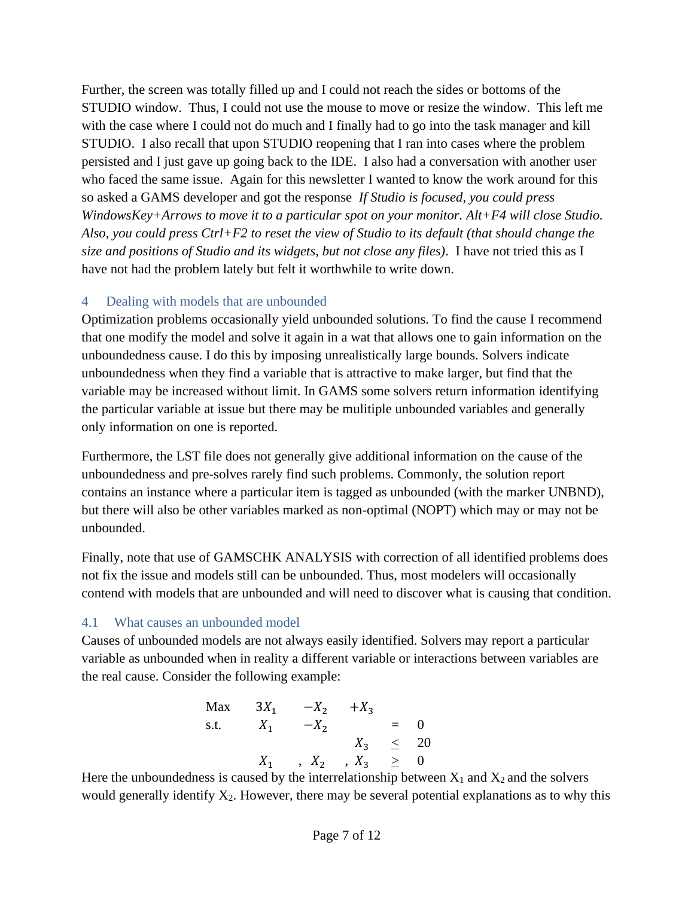Further, the screen was totally filled up and I could not reach the sides or bottoms of the STUDIO window. Thus, I could not use the mouse to move or resize the window. This left me with the case where I could not do much and I finally had to go into the task manager and kill STUDIO. I also recall that upon STUDIO reopening that I ran into cases where the problem persisted and I just gave up going back to the IDE. I also had a conversation with another user who faced the same issue. Again for this newsletter I wanted to know the work around for this so asked a GAMS developer and got the response *If Studio is focused, you could press WindowsKey+Arrows to move it to a particular spot on your monitor. Alt+F4 will close Studio. Also, you could press Ctrl+F2 to reset the view of Studio to its default (that should change the size and positions of Studio and its widgets, but not close any files)*. I have not tried this as I have not had the problem lately but felt it worthwhile to write down.

#### <span id="page-6-0"></span>4 Dealing with models that are unbounded

Optimization problems occasionally yield unbounded solutions. To find the cause I recommend that one modify the model and solve it again in a wat that allows one to gain information on the unboundedness cause. I do this by imposing unrealistically large bounds. Solvers indicate unboundedness when they find a variable that is attractive to make larger, but find that the variable may be increased without limit. In GAMS some solvers return information identifying the particular variable at issue but there may be mulitiple unbounded variables and generally only information on one is reported.

Furthermore, the LST file does not generally give additional information on the cause of the unboundedness and pre-solves rarely find such problems. Commonly, the solution report contains an instance where a particular item is tagged as unbounded (with the marker UNBND), but there will also be other variables marked as non-optimal (NOPT) which may or may not be unbounded.

Finally, note that use of GAMSCHK ANALYSIS with correction of all identified problems does not fix the issue and models still can be unbounded. Thus, most modelers will occasionally contend with models that are unbounded and will need to discover what is causing that condition.

#### <span id="page-6-1"></span>4.1 What causes an unbounded model

Causes of unbounded models are not always easily identified. Solvers may report a particular variable as unbounded when in reality a different variable or interactions between variables are the real cause. Consider the following example:

Max 
$$
3X_1
$$
 - $X_2$  + $X_3$   
s.t.  $X_1$  - $X_2$  = 0  
 $X_3 \le 20$   
 $X_1$ ,  $X_2$ ,  $X_3 \ge 0$ 

Here the unboundedness is caused by the interrelationship between  $X_1$  and  $X_2$  and the solvers would generally identify  $X_2$ . However, there may be several potential explanations as to why this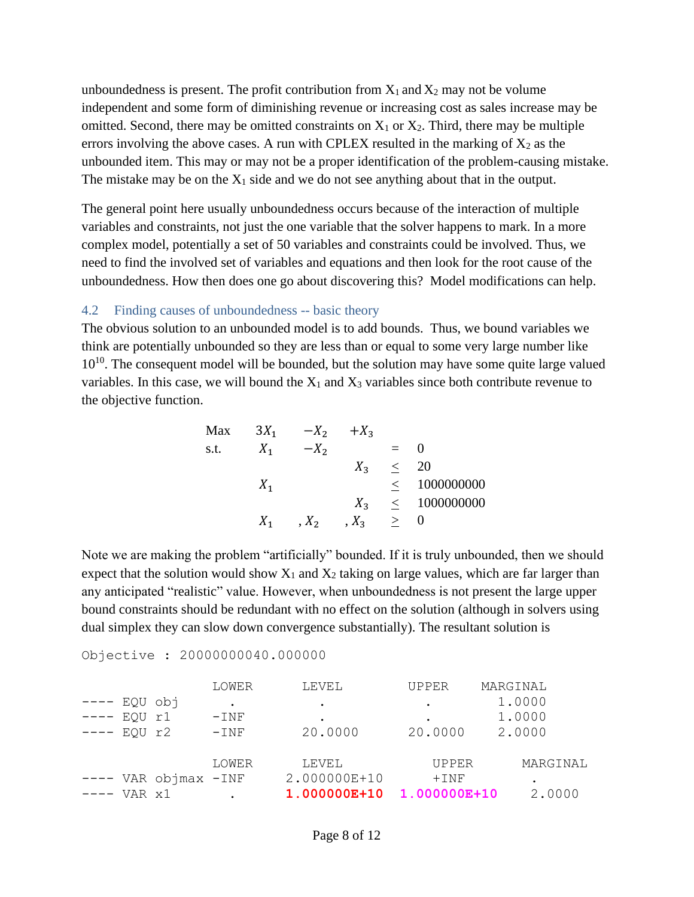unboundedness is present. The profit contribution from  $X_1$  and  $X_2$  may not be volume independent and some form of diminishing revenue or increasing cost as sales increase may be omitted. Second, there may be omitted constraints on  $X_1$  or  $X_2$ . Third, there may be multiple errors involving the above cases. A run with CPLEX resulted in the marking of  $X_2$  as the unbounded item. This may or may not be a proper identification of the problem-causing mistake. The mistake may be on the  $X_1$  side and we do not see anything about that in the output.

The general point here usually unboundedness occurs because of the interaction of multiple variables and constraints, not just the one variable that the solver happens to mark. In a more complex model, potentially a set of 50 variables and constraints could be involved. Thus, we need to find the involved set of variables and equations and then look for the root cause of the unboundedness. How then does one go about discovering this? Model modifications can help.

#### <span id="page-7-0"></span>4.2 Finding causes of unboundedness -- basic theory

The obvious solution to an unbounded model is to add bounds. Thus, we bound variables we think are potentially unbounded so they are less than or equal to some very large number like  $10^{10}$ . The consequent model will be bounded, but the solution may have some quite large valued variables. In this case, we will bound the  $X_1$  and  $X_3$  variables since both contribute revenue to the objective function.

$$
Max \t 3X1 -X2 +X3\ns.t. \t X1 -X2 = 0\t X3 \le 20\t X1 \le 1000000000\t X1 , X2 , X3 \le 0
$$

Note we are making the problem "artificially" bounded. If it is truly unbounded, then we should expect that the solution would show  $X_1$  and  $X_2$  taking on large values, which are far larger than any anticipated "realistic" value. However, when unboundedness is not present the large upper bound constraints should be redundant with no effect on the solution (although in solvers using dual simplex they can slow down convergence substantially). The resultant solution is

|         |                          | LOWER     | LEVEL        | UPPER |              | MARGINAL |          |  |
|---------|--------------------------|-----------|--------------|-------|--------------|----------|----------|--|
| EQU obj |                          | $\bullet$ | $\bullet$    | ٠     |              |          | 1.0000   |  |
| EQU     | r1                       | $-$ INF   | ٠            |       |              |          | 1.0000   |  |
| EQU     | r2                       | $-INF$    | 20.0000      |       | 20.0000      |          | 2.0000   |  |
|         |                          |           |              |       |              |          |          |  |
|         |                          | LOWER     | LEVEL        |       | <b>UPPER</b> |          | MARGINAL |  |
|         | $---$ VAR objmax $-$ INF |           | 2.000000E+10 |       | $+$ INF      |          |          |  |
| VAR x1  |                          |           | 1.000000E+10 |       | 1.000000E+10 |          | 2.0000   |  |

Objective : 20000000040.000000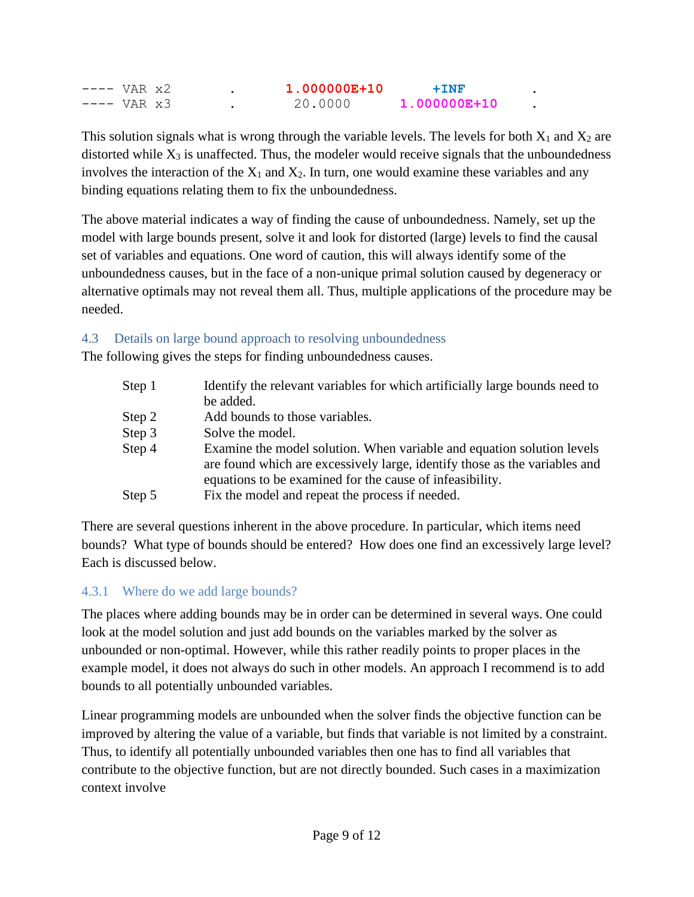| $---$ VAR $x2$       | $1.000000E + 10$ | $+TNF$           |  |
|----------------------|------------------|------------------|--|
| $---$ VAR $\times 3$ | 20.0000          | $1.000000E + 10$ |  |

This solution signals what is wrong through the variable levels. The levels for both  $X_1$  and  $X_2$  are distorted while  $X_3$  is unaffected. Thus, the modeler would receive signals that the unboundedness involves the interaction of the  $X_1$  and  $X_2$ . In turn, one would examine these variables and any binding equations relating them to fix the unboundedness.

The above material indicates a way of finding the cause of unboundedness. Namely, set up the model with large bounds present, solve it and look for distorted (large) levels to find the causal set of variables and equations. One word of caution, this will always identify some of the unboundedness causes, but in the face of a non-unique primal solution caused by degeneracy or alternative optimals may not reveal them all. Thus, multiple applications of the procedure may be needed.

#### <span id="page-8-0"></span>4.3 Details on large bound approach to resolving unboundedness

The following gives the steps for finding unboundedness causes.

| Step 1   | Identify the relevant variables for which artificially large bounds need to                                                                          |
|----------|------------------------------------------------------------------------------------------------------------------------------------------------------|
|          | be added.                                                                                                                                            |
| Step $2$ | Add bounds to those variables.                                                                                                                       |
| Step 3   | Solve the model.                                                                                                                                     |
| Step 4   | Examine the model solution. When variable and equation solution levels<br>are found which are excessively large, identify those as the variables and |
| Step 5   | equations to be examined for the cause of infeasibility.<br>Fix the model and repeat the process if needed.                                          |
|          |                                                                                                                                                      |

There are several questions inherent in the above procedure. In particular, which items need bounds? What type of bounds should be entered? How does one find an excessively large level? Each is discussed below.

#### <span id="page-8-1"></span>4.3.1 Where do we add large bounds?

The places where adding bounds may be in order can be determined in several ways. One could look at the model solution and just add bounds on the variables marked by the solver as unbounded or non-optimal. However, while this rather readily points to proper places in the example model, it does not always do such in other models. An approach I recommend is to add bounds to all potentially unbounded variables.

Linear programming models are unbounded when the solver finds the objective function can be improved by altering the value of a variable, but finds that variable is not limited by a constraint. Thus, to identify all potentially unbounded variables then one has to find all variables that contribute to the objective function, but are not directly bounded. Such cases in a maximization context involve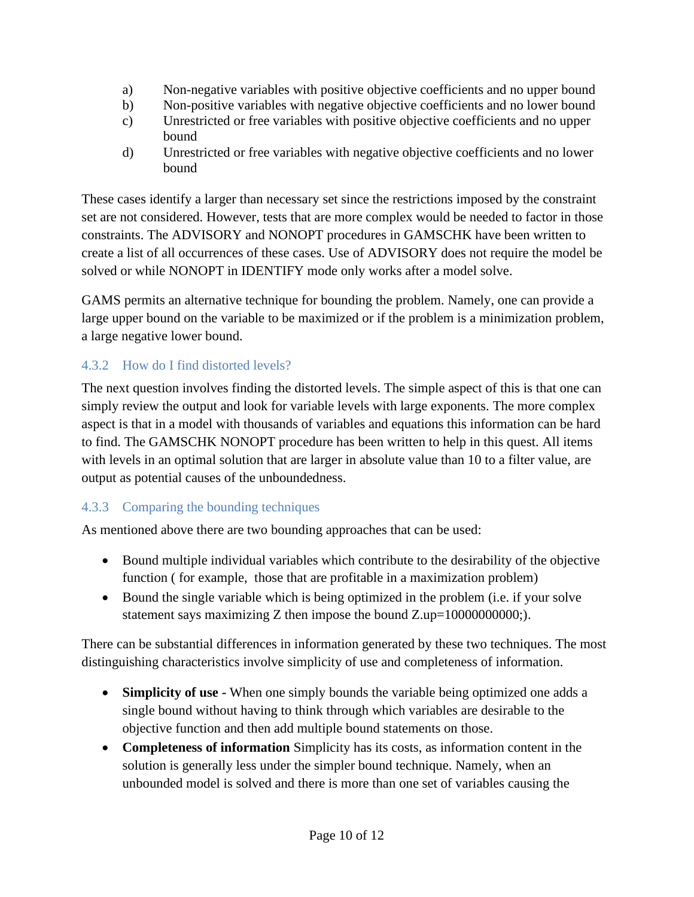- a) Non-negative variables with positive objective coefficients and no upper bound
- b) Non-positive variables with negative objective coefficients and no lower bound
- c) Unrestricted or free variables with positive objective coefficients and no upper bound
- d) Unrestricted or free variables with negative objective coefficients and no lower bound

These cases identify a larger than necessary set since the restrictions imposed by the constraint set are not considered. However, tests that are more complex would be needed to factor in those constraints. The ADVISORY and NONOPT procedures in GAMSCHK have been written to create a list of all occurrences of these cases. Use of ADVISORY does not require the model be solved or while NONOPT in IDENTIFY mode only works after a model solve.

GAMS permits an alternative technique for bounding the problem. Namely, one can provide a large upper bound on the variable to be maximized or if the problem is a minimization problem, a large negative lower bound.

# <span id="page-9-0"></span>4.3.2 How do I find distorted levels?

The next question involves finding the distorted levels. The simple aspect of this is that one can simply review the output and look for variable levels with large exponents. The more complex aspect is that in a model with thousands of variables and equations this information can be hard to find. The GAMSCHK NONOPT procedure has been written to help in this quest. All items with levels in an optimal solution that are larger in absolute value than 10 to a filter value, are output as potential causes of the unboundedness.

# <span id="page-9-1"></span>4.3.3 Comparing the bounding techniques

As mentioned above there are two bounding approaches that can be used:

- Bound multiple individual variables which contribute to the desirability of the objective function ( for example, those that are profitable in a maximization problem)
- Bound the single variable which is being optimized in the problem (i.e. if your solve statement says maximizing Z then impose the bound  $Z.up = 10000000000$ ;).

There can be substantial differences in information generated by these two techniques. The most distinguishing characteristics involve simplicity of use and completeness of information.

- **Simplicity of use -** When one simply bounds the variable being optimized one adds a single bound without having to think through which variables are desirable to the objective function and then add multiple bound statements on those.
- **Completeness of information** Simplicity has its costs, as information content in the solution is generally less under the simpler bound technique. Namely, when an unbounded model is solved and there is more than one set of variables causing the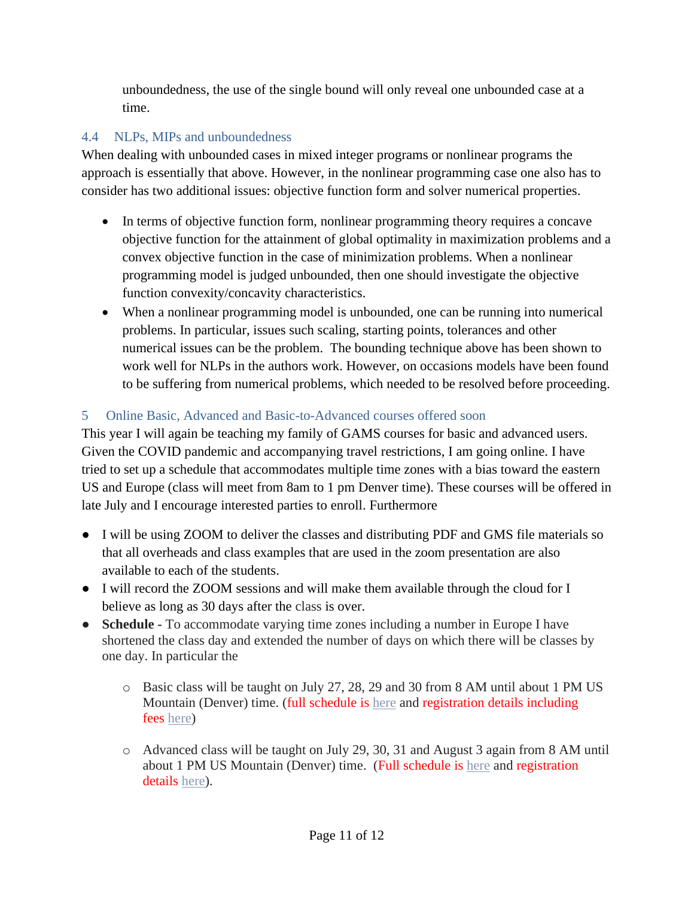unboundedness, the use of the single bound will only reveal one unbounded case at a time.

# <span id="page-10-0"></span>4.4 NLPs, MIPs and unboundedness

When dealing with unbounded cases in mixed integer programs or nonlinear programs the approach is essentially that above. However, in the nonlinear programming case one also has to consider has two additional issues: objective function form and solver numerical properties.

- In terms of objective function form, nonlinear programming theory requires a concave objective function for the attainment of global optimality in maximization problems and a convex objective function in the case of minimization problems. When a nonlinear programming model is judged unbounded, then one should investigate the objective function convexity/concavity characteristics.
- When a nonlinear programming model is unbounded, one can be running into numerical problems. In particular, issues such scaling, starting points, tolerances and other numerical issues can be the problem. The bounding technique above has been shown to work well for NLPs in the authors work. However, on occasions models have been found to be suffering from numerical problems, which needed to be resolved before proceeding.

# <span id="page-10-1"></span>5 Online Basic, Advanced and Basic-to-Advanced courses offered soon

This year I will again be teaching my family of GAMS courses for basic and advanced users. Given the COVID pandemic and accompanying travel restrictions, I am going online. I have tried to set up a schedule that accommodates multiple time zones with a bias toward the eastern US and Europe (class will meet from 8am to 1 pm Denver time). These courses will be offered in late July and I encourage interested parties to enroll. Furthermore

- I will be using ZOOM to deliver the classes and distributing PDF and GMS file materials so that all overheads and class examples that are used in the zoom presentation are also available to each of the students.
- I will record the ZOOM sessions and will make them available through the cloud for I believe as long as 30 days after the class is over.
- **Schedule -** To accommodate varying time zones including a number in Europe I have shortened the class day and extended the number of days on which there will be classes by one day. In particular the
	- o Basic class will be taught on July 27, 28, 29 and 30 from 8 AM until about 1 PM US Mountain (Denver) time. (full schedule is [here](https://www.gams.com/courses/2020_07_basic-gams-modeling_mccarl_t/introduction_basic2020_online.pdf) and registration details including fees [here\)](https://www.gams.com/courses/2020_07_basic-gams-modeling_mccarl_t/Basic_GAMS_Modeling2020_online.pdf)
	- o Advanced class will be taught on July 29, 30, 31 and August 3 again from 8 AM until about 1 PM US Mountain (Denver) time. (Full schedule is [here](https://www.gams.com/courses/2020_07_advanced-gams-modeling_mccarl_t/Introduction_adv_gams_class2020_online.pdf) and registration details [here\)](https://www.gams.com/courses/2020_07_advanced-gams-modeling_mccarl_t/Advanced_GAMS_Modeling2020_online.pdf).